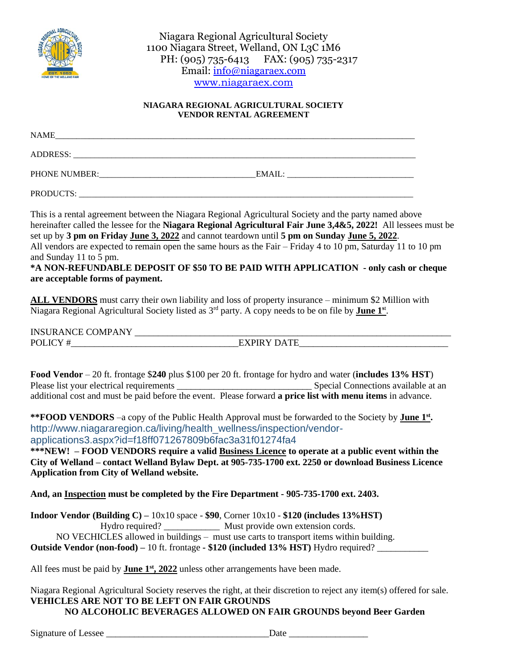

Niagara Regional Agricultural Society 1100 Niagara Street, Welland, ON L3C 1M6 PH: (905) 735-6413 FAX: (905) 735-2317 Email: [info@niagaraex.com](mailto:info@niagaraex.com) [www.niagaraex.com](http://www.niagaraex.com/)

## **NIAGARA REGIONAL AGRICULTURAL SOCIETY VENDOR RENTAL AGREEMENT**

| NAME          |        |
|---------------|--------|
| ADDRESS:      |        |
| PHONE NUMBER: | EMAIL: |
| PRODUCTS:     |        |

This is a rental agreement between the Niagara Regional Agricultural Society and the party named above hereinafter called the lessee for the **Niagara Regional Agricultural Fair June 3,4&5, 2022!** All lessees must be set up by **3 pm on Friday June 3, 2022** and cannot teardown until **5 pm on Sunday June 5, 2022**. All vendors are expected to remain open the same hours as the Fair – Friday 4 to 10 pm, Saturday 11 to 10 pm and Sunday 11 to 5 pm.

## **\*A NON-REFUNDABLE DEPOSIT OF \$50 TO BE PAID WITH APPLICATION - only cash or cheque are acceptable forms of payment.**

**ALL VENDORS** must carry their own liability and loss of property insurance – minimum \$2 Million with Niagara Regional Agricultural Society listed as 3<sup>rd</sup> party. A copy needs to be on file by **June 1**<sup>st</sup>.

INSURANCE COMPANY \_\_\_\_\_\_\_\_\_\_\_\_\_\_\_\_\_\_\_\_\_\_\_\_\_\_\_\_\_\_\_\_\_\_\_\_\_\_\_\_\_\_\_\_\_\_\_\_\_\_\_\_\_\_\_\_\_\_\_\_\_\_\_\_\_\_\_\_ POLICY #\_\_\_\_\_\_\_\_\_\_\_\_\_\_\_\_\_\_\_\_\_\_\_\_\_\_\_\_\_\_\_\_\_\_\_\_EXPIRY DATE\_\_\_\_\_\_\_\_\_\_\_\_\_\_\_\_\_\_\_\_\_\_\_\_\_\_\_\_\_\_\_\_

**Food Vendor** – 20 ft. frontage \$**240** plus \$100 per 20 ft. frontage for hydro and water (**includes 13% HST**) Please list your electrical requirements **Exercise Special Connections** available at an additional cost and must be paid before the event. Please forward **a price list with menu items** in advance.

\*\***FOOD VENDORS** –a copy of the Public Health Approval must be forwarded to the Society by **June 1**<sup>st</sup>. http://www.niagararegion.ca/living/health\_wellness/inspection/vendorapplications3.aspx?id=f18ff071267809b6fac3a31f01274fa4

**\*\*\*NEW! – FOOD VENDORS require a valid Business Licence to operate at a public event within the City of Welland – contact Welland Bylaw Dept. at 905-735-1700 ext. 2250 or download Business Licence Application from City of Welland website.**

**And, an Inspection must be completed by the Fire Department - 905-735-1700 ext. 2403.**

**Indoor Vendor (Building C) –** 10x10 space - **\$90**, Corner 10x10 - **\$120 (includes 13%HST)** Hydro required? \_\_\_\_\_\_\_\_\_\_\_\_\_\_\_\_\_\_ Must provide own extension cords. NO VECHICLES allowed in buildings – must use carts to transport items within building. **Outside Vendor (non-food) –** 10 ft. frontage **- \$120 (included 13% HST)** Hydro required? \_\_\_\_\_\_\_\_\_\_\_

All fees must be paid by **June 1<sup>st</sup>**, 2022 unless other arrangements have been made.

Niagara Regional Agricultural Society reserves the right, at their discretion to reject any item(s) offered for sale. **VEHICLES ARE NOT TO BE LEFT ON FAIR GROUNDS NO ALCOHOLIC BEVERAGES ALLOWED ON FAIR GROUNDS beyond Beer Garden**